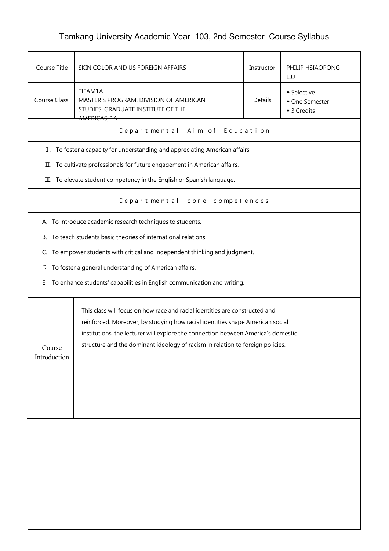## Tamkang University Academic Year 103, 2nd Semester Course Syllabus

| Course Title                                                                                                                                                                                                                                                                                                                                                  | SKIN COLOR AND US FOREIGN AFFAIRS<br>PHILIP HSIAOPONG<br>Instructor<br>LIU                                                                                |  |  |  |  |
|---------------------------------------------------------------------------------------------------------------------------------------------------------------------------------------------------------------------------------------------------------------------------------------------------------------------------------------------------------------|-----------------------------------------------------------------------------------------------------------------------------------------------------------|--|--|--|--|
| <b>Course Class</b>                                                                                                                                                                                                                                                                                                                                           | TIFAM1A<br>• Selective<br>MASTER'S PROGRAM, DIVISION OF AMERICAN<br><b>Details</b><br>• One Semester<br>STUDIES, GRADUATE INSTITUTE OF THE<br>◆ 3 Credits |  |  |  |  |
|                                                                                                                                                                                                                                                                                                                                                               | AMERICAS, 1A<br>Departmental Aim of Education                                                                                                             |  |  |  |  |
|                                                                                                                                                                                                                                                                                                                                                               | I. To foster a capacity for understanding and appreciating American affairs.                                                                              |  |  |  |  |
|                                                                                                                                                                                                                                                                                                                                                               | II. To cultivate professionals for future engagement in American affairs.                                                                                 |  |  |  |  |
|                                                                                                                                                                                                                                                                                                                                                               | III. To elevate student competency in the English or Spanish language.                                                                                    |  |  |  |  |
| Departmental core competences                                                                                                                                                                                                                                                                                                                                 |                                                                                                                                                           |  |  |  |  |
|                                                                                                                                                                                                                                                                                                                                                               | A. To introduce academic research techniques to students.                                                                                                 |  |  |  |  |
|                                                                                                                                                                                                                                                                                                                                                               | B. To teach students basic theories of international relations.                                                                                           |  |  |  |  |
|                                                                                                                                                                                                                                                                                                                                                               | C. To empower students with critical and independent thinking and judgment.                                                                               |  |  |  |  |
|                                                                                                                                                                                                                                                                                                                                                               | D. To foster a general understanding of American affairs.                                                                                                 |  |  |  |  |
| Е.                                                                                                                                                                                                                                                                                                                                                            | To enhance students' capabilities in English communication and writing.                                                                                   |  |  |  |  |
| This class will focus on how race and racial identities are constructed and<br>reinforced. Moreover, by studying how racial identities shape American social<br>institutions, the lecturer will explore the connection between America's domestic<br>structure and the dominant ideology of racism in relation to foreign policies.<br>Course<br>Introduction |                                                                                                                                                           |  |  |  |  |
|                                                                                                                                                                                                                                                                                                                                                               |                                                                                                                                                           |  |  |  |  |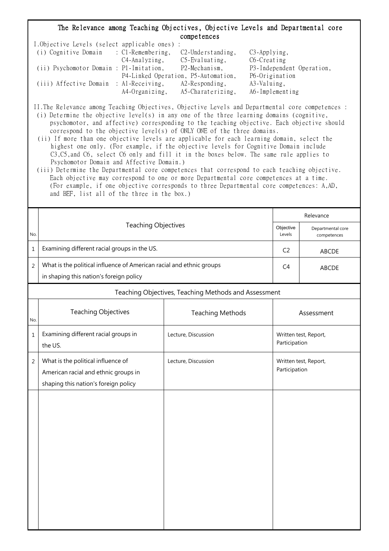## The Relevance among Teaching Objectives, Objective Levels and Departmental core competences

| I.Objective Levels (select applicable ones) : |                |                                     |                           |
|-----------------------------------------------|----------------|-------------------------------------|---------------------------|
| (i) Cognitive Domain : C1-Remembering,        |                | $C2$ -Understanding,                | $C3$ -Applying,           |
|                                               | C4-Analyzing,  | $C5$ -Evaluating,                   | C6-Creating               |
| (ii) Psychomotor Domain : P1-Imitation,       |                | P2-Mechanism,                       | P3-Independent Operation, |
|                                               |                | P4-Linked Operation, P5-Automation, | P6-Origination            |
| (iii) Affective Domain : Al-Receiving,        |                | $A2$ -Responding,                   | A3-Valuing,               |
|                                               | A4-Organizing, | A5-Charaterizing,                   | A6-Implementing           |

II.The Relevance among Teaching Objectives, Objective Levels and Departmental core competences :

- (i) Determine the objective level(s) in any one of the three learning domains (cognitive, psychomotor, and affective) corresponding to the teaching objective. Each objective should correspond to the objective level(s) of ONLY ONE of the three domains.
- (ii) If more than one objective levels are applicable for each learning domain, select the highest one only. (For example, if the objective levels for Cognitive Domain include C3,C5,and C6, select C6 only and fill it in the boxes below. The same rule applies to Psychomotor Domain and Affective Domain.)
- (iii) Determine the Departmental core competences that correspond to each teaching objective. Each objective may correspond to one or more Departmental core competences at a time. (For example, if one objective corresponds to three Departmental core competences: A,AD, and BEF, list all of the three in the box.)

|                |                                                                                                                    | Relevance               |                                        |                       |  |  |
|----------------|--------------------------------------------------------------------------------------------------------------------|-------------------------|----------------------------------------|-----------------------|--|--|
| No.            | <b>Teaching Objectives</b>                                                                                         | Objective<br>Levels     | Departmental core<br>competences       |                       |  |  |
| $\mathbf{1}$   | Examining different racial groups in the US.                                                                       | C <sub>2</sub>          | ABCDE                                  |                       |  |  |
| 2              | What is the political influence of American racial and ethnic groups<br>in shaping this nation's foreign policy    | C4                      | <b>ABCDE</b>                           |                       |  |  |
|                | Teaching Objectives, Teaching Methods and Assessment                                                               |                         |                                        |                       |  |  |
| No.            | <b>Teaching Objectives</b>                                                                                         | <b>Teaching Methods</b> | Assessment                             |                       |  |  |
| $\mathbf 1$    | Examining different racial groups in<br>the US.                                                                    | Lecture, Discussion     | Written test, Report,<br>Participation |                       |  |  |
| $\overline{2}$ | What is the political influence of<br>American racial and ethnic groups in<br>shaping this nation's foreign policy | Lecture, Discussion     | Participation                          | Written test, Report, |  |  |
|                |                                                                                                                    |                         |                                        |                       |  |  |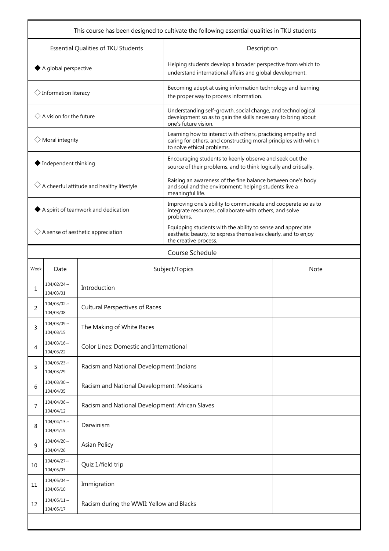| This course has been designed to cultivate the following essential qualities in TKU students |                               |                                                 |                                                                                                                                                               |  |  |  |
|----------------------------------------------------------------------------------------------|-------------------------------|-------------------------------------------------|---------------------------------------------------------------------------------------------------------------------------------------------------------------|--|--|--|
| Essential Qualities of TKU Students                                                          |                               |                                                 | Description                                                                                                                                                   |  |  |  |
| $\blacklozenge$ A global perspective                                                         |                               |                                                 | Helping students develop a broader perspective from which to<br>understand international affairs and global development.                                      |  |  |  |
| $\Diamond$ Information literacy                                                              |                               |                                                 | Becoming adept at using information technology and learning<br>the proper way to process information.                                                         |  |  |  |
| $\Diamond$ A vision for the future                                                           |                               |                                                 | Understanding self-growth, social change, and technological<br>development so as to gain the skills necessary to bring about<br>one's future vision.          |  |  |  |
| $\Diamond$ Moral integrity                                                                   |                               |                                                 | Learning how to interact with others, practicing empathy and<br>caring for others, and constructing moral principles with which<br>to solve ethical problems. |  |  |  |
| ◆ Independent thinking                                                                       |                               |                                                 | Encouraging students to keenly observe and seek out the<br>source of their problems, and to think logically and critically.                                   |  |  |  |
| $\Diamond$ A cheerful attitude and healthy lifestyle                                         |                               |                                                 | Raising an awareness of the fine balance between one's body<br>and soul and the environment; helping students live a<br>meaningful life.                      |  |  |  |
| $\blacklozenge$ A spirit of teamwork and dedication                                          |                               |                                                 | Improving one's ability to communicate and cooperate so as to<br>integrate resources, collaborate with others, and solve<br>problems.                         |  |  |  |
| $\Diamond$ A sense of aesthetic appreciation                                                 |                               |                                                 | Equipping students with the ability to sense and appreciate<br>aesthetic beauty, to express themselves clearly, and to enjoy<br>the creative process.         |  |  |  |
|                                                                                              | Course Schedule               |                                                 |                                                                                                                                                               |  |  |  |
| Week                                                                                         | Date                          | Subject/Topics<br><b>Note</b>                   |                                                                                                                                                               |  |  |  |
| 1                                                                                            | $104/02/24$ ~<br>104/03/01    | Introduction                                    |                                                                                                                                                               |  |  |  |
| 2                                                                                            | $104/03/02 \sim$<br>104/03/08 | <b>Cultural Perspectives of Races</b>           |                                                                                                                                                               |  |  |  |
| 3                                                                                            | $104/03/09$ ~<br>104/03/15    | The Making of White Races                       |                                                                                                                                                               |  |  |  |
| 4                                                                                            | $104/03/16 \sim$<br>104/03/22 | Color Lines: Domestic and International         |                                                                                                                                                               |  |  |  |
| 5                                                                                            | $104/03/23$ ~<br>104/03/29    | Racism and National Development: Indians        |                                                                                                                                                               |  |  |  |
| 6                                                                                            | $104/03/30 \sim$<br>104/04/05 | Racism and National Development: Mexicans       |                                                                                                                                                               |  |  |  |
| 7                                                                                            | $104/04/06$ ~<br>104/04/12    | Racism and National Development: African Slaves |                                                                                                                                                               |  |  |  |
| 8                                                                                            | $104/04/13 \sim$<br>104/04/19 | Darwinism                                       |                                                                                                                                                               |  |  |  |
| 9                                                                                            | $104/04/20$ ~<br>104/04/26    | <b>Asian Policy</b>                             |                                                                                                                                                               |  |  |  |
| 10                                                                                           | $104/04/27$ ~<br>104/05/03    | Quiz 1/field trip                               |                                                                                                                                                               |  |  |  |
| 11                                                                                           | $104/05/04$ ~<br>104/05/10    | Immigration                                     |                                                                                                                                                               |  |  |  |
| 12                                                                                           | $104/05/11 \sim$<br>104/05/17 | Racism during the WWII: Yellow and Blacks       |                                                                                                                                                               |  |  |  |
|                                                                                              |                               |                                                 |                                                                                                                                                               |  |  |  |